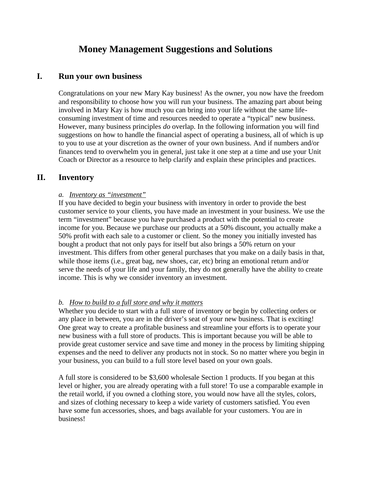# **Money Management Suggestions and Solutions**

### **I. Run your own business**

Congratulations on your new Mary Kay business! As the owner, you now have the freedom and responsibility to choose how you will run your business. The amazing part about being involved in Mary Kay is how much you can bring into your life without the same lifeconsuming investment of time and resources needed to operate a "typical" new business. However, many business principles *do* overlap. In the following information you will find suggestions on how to handle the financial aspect of operating a business, all of which is up to you to use at your discretion as the owner of your own business. And if numbers and/or finances tend to overwhelm you in general, just take it one step at a time and use your Unit Coach or Director as a resource to help clarify and explain these principles and practices.

# **II. Inventory**

#### *a. Inventory as "investment"*

If you have decided to begin your business with inventory in order to provide the best customer service to your clients, you have made an investment in your business. We use the term "investment" because you have purchased a product with the potential to create income for you. Because we purchase our products at a 50% discount, you actually make a 50% profit with each sale to a customer or client. So the money you initially invested has bought a product that not only pays for itself but also brings a 50% return on your investment. This differs from other general purchases that you make on a daily basis in that, while those items (i.e., great bag, new shoes, car, etc) bring an emotional return and/or serve the needs of your life and your family, they do not generally have the ability to create income. This is why we consider inventory an investment.

### *b. How to build to a full store and why it matters*

Whether you decide to start with a full store of inventory or begin by collecting orders or any place in between, you are in the driver's seat of your new business. That is exciting! One great way to create a profitable business and streamline your efforts is to operate your new business with a full store of products. This is important because you will be able to provide great customer service and save time and money in the process by limiting shipping expenses and the need to deliver any products not in stock. So no matter where you begin in your business, you can build to a full store level based on your own goals.

A full store is considered to be \$3,600 wholesale Section 1 products. If you began at this level or higher, you are already operating with a full store! To use a comparable example in the retail world, if you owned a clothing store, you would now have all the styles, colors, and sizes of clothing necessary to keep a wide variety of customers satisfied. You even have some fun accessories, shoes, and bags available for your customers. You are in business!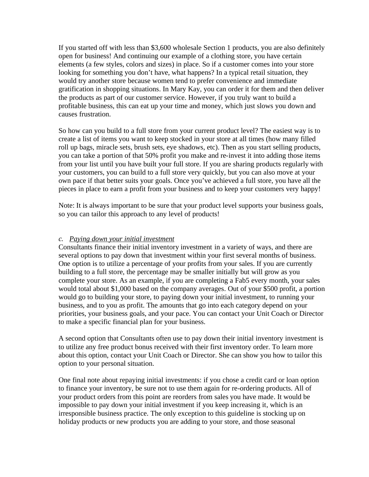If you started off with less than \$3,600 wholesale Section 1 products, you are also definitely open for business! And continuing our example of a clothing store, you have certain elements (a few styles, colors and sizes) in place. So if a customer comes into your store looking for something you don't have, what happens? In a typical retail situation, they would try another store because women tend to prefer convenience and immediate gratification in shopping situations. In Mary Kay, you can order it for them and then deliver the products as part of our customer service. However, if you truly want to build a profitable business, this can eat up your time and money, which just slows you down and causes frustration.

So how can you build to a full store from your current product level? The easiest way is to create a list of items you want to keep stocked in your store at all times (how many filled roll up bags, miracle sets, brush sets, eye shadows, etc). Then as you start selling products, you can take a portion of that 50% profit you make and re-invest it into adding those items from your list until you have built your full store. If you are sharing products regularly with your customers, you can build to a full store very quickly, but you can also move at your own pace if that better suits your goals. Once you've achieved a full store, you have all the pieces in place to earn a profit from your business and to keep your customers very happy!

Note: It is always important to be sure that your product level supports your business goals, so you can tailor this approach to any level of products!

#### *c. Paying down your initial investment*

Consultants finance their initial inventory investment in a variety of ways, and there are several options to pay down that investment within your first several months of business. One option is to utilize a percentage of your profits from your sales. If you are currently building to a full store, the percentage may be smaller initially but will grow as you complete your store. As an example, if you are completing a Fab5 every month, your sales would total about \$1,000 based on the company averages. Out of your \$500 profit, a portion would go to building your store, to paying down your initial investment, to running your business, and to you as profit. The amounts that go into each category depend on your priorities, your business goals, and your pace. You can contact your Unit Coach or Director to make a specific financial plan for your business.

A second option that Consultants often use to pay down their initial inventory investment is to utilize any free product bonus received with their first inventory order. To learn more about this option, contact your Unit Coach or Director. She can show you how to tailor this option to your personal situation.

One final note about repaying initial investments: if you chose a credit card or loan option to finance your inventory, be sure not to use them again for re-ordering products. All of your product orders from this point are reorders from sales you have made. It would be impossible to pay down your initial investment if you keep increasing it, which is an irresponsible business practice. The only exception to this guideline is stocking up on holiday products or new products you are adding to your store, and those seasonal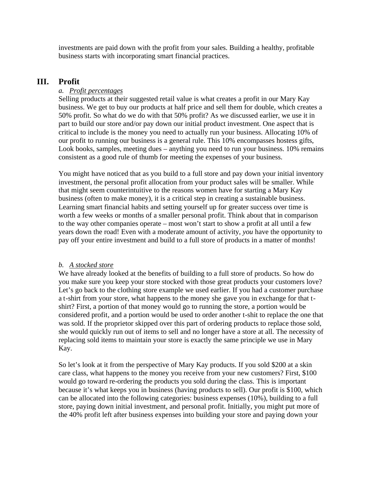investments are paid down with the profit from your sales. Building a healthy, profitable business starts with incorporating smart financial practices.

# **III. Profit**

### *a. Profit percentages*

Selling products at their suggested retail value is what creates a profit in our Mary Kay business. We get to buy our products at half price and sell them for double, which creates a 50% profit. So what do we do with that 50% profit? As we discussed earlier, we use it in part to build our store and/or pay down our initial product investment. One aspect that is critical to include is the money you need to actually run your business. Allocating 10% of our profit to running our business is a general rule. This 10% encompasses hostess gifts, Look books, samples, meeting dues – anything you need to run your business. 10% remains consistent as a good rule of thumb for meeting the expenses of your business.

You might have noticed that as you build to a full store and pay down your initial inventory investment, the personal profit allocation from your product sales will be smaller. While that might seem counterintuitive to the reasons women have for starting a Mary Kay business (often to make money), it is a critical step in creating a sustainable business. Learning smart financial habits and setting yourself up for greater success over time is worth a few weeks or months of a smaller personal profit. Think about that in comparison to the way other companies operate – most won't start to show a profit at all until a few years down the road! Even with a moderate amount of activity, *you* have the opportunity to pay off your entire investment and build to a full store of products in a matter of months!

#### *b. A stocked store*

We have already looked at the benefits of building to a full store of products. So how do you make sure you keep your store stocked with those great products your customers love? Let's go back to the clothing store example we used earlier. If you had a customer purchase a t-shirt from your store, what happens to the money she gave you in exchange for that tshirt? First, a portion of that money would go to running the store, a portion would be considered profit, and a portion would be used to order another t-shit to replace the one that was sold. If the proprietor skipped over this part of ordering products to replace those sold, she would quickly run out of items to sell and no longer have a store at all. The necessity of replacing sold items to maintain your store is exactly the same principle we use in Mary Kay.

So let's look at it from the perspective of Mary Kay products. If you sold \$200 at a skin care class, what happens to the money you receive from your new customers? First, \$100 would go toward re-ordering the products you sold during the class. This is important because it's what keeps you in business (having products to sell). Our profit is \$100, which can be allocated into the following categories: business expenses (10%), building to a full store, paying down initial investment, and personal profit. Initially, you might put more of the 40% profit left after business expenses into building your store and paying down your